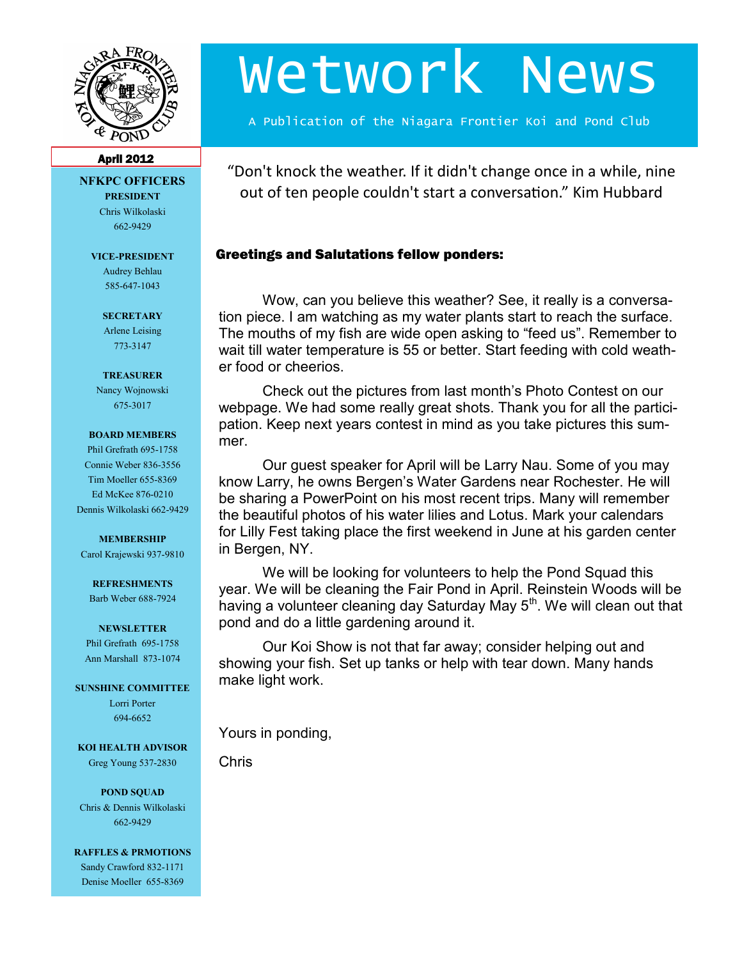

# Wetwork News

A Publication of the Niagara Frontier Koi and Pond Club

#### April 2012

**NFKPC OFFICERS PRESIDENT** Chris Wilkolaski

662-9429

**VICE-PRESIDENT**

Audrey Behlau 585-647-1043

**SECRETARY** Arlene Leising 773-3147

#### **TREASURER**

Nancy Wojnowski 675-3017

#### **BOARD MEMBERS**

Phil Grefrath 695-1758 Connie Weber 836-3556 Tim Moeller 655-8369 Ed McKee 876-0210 Dennis Wilkolaski 662-9429

#### **MEMBERSHIP**

Carol Krajewski 937-9810

#### **REFRESHMENTS**

Barb Weber 688-7924

#### **NEWSLETTER**

Phil Grefrath 695-1758 Ann Marshall 873-1074

**SUNSHINE COMMITTEE**

Lorri Porter 694-6652

**KOI HEALTH ADVISOR** Greg Young 537-2830

**POND SQUAD** Chris & Dennis Wilkolaski 662-9429

**RAFFLES & PRMOTIONS** Sandy Crawford 832-1171 Denise Moeller 655-8369

"Don't knock the weather. If it didn't change once in a while, nine out of ten people couldn't start a conversation." Kim Hubbard

## Greetings and Salutations fellow ponders:

Wow, can you believe this weather? See, it really is a conversation piece. I am watching as my water plants start to reach the surface. The mouths of my fish are wide open asking to "feed us". Remember to wait till water temperature is 55 or better. Start feeding with cold weather food or cheerios.

Check out the pictures from last month's Photo Contest on our webpage. We had some really great shots. Thank you for all the participation. Keep next years contest in mind as you take pictures this summer.

Our guest speaker for April will be Larry Nau. Some of you may know Larry, he owns Bergen's Water Gardens near Rochester. He will be sharing a PowerPoint on his most recent trips. Many will remember the beautiful photos of his water lilies and Lotus. Mark your calendars for Lilly Fest taking place the first weekend in June at his garden center in Bergen, NY.

We will be looking for volunteers to help the Pond Squad this year. We will be cleaning the Fair Pond in April. Reinstein Woods will be having a volunteer cleaning day Saturday May  $5<sup>th</sup>$ . We will clean out that pond and do a little gardening around it.

Our Koi Show is not that far away; consider helping out and showing your fish. Set up tanks or help with tear down. Many hands make light work.

Yours in ponding,

Chris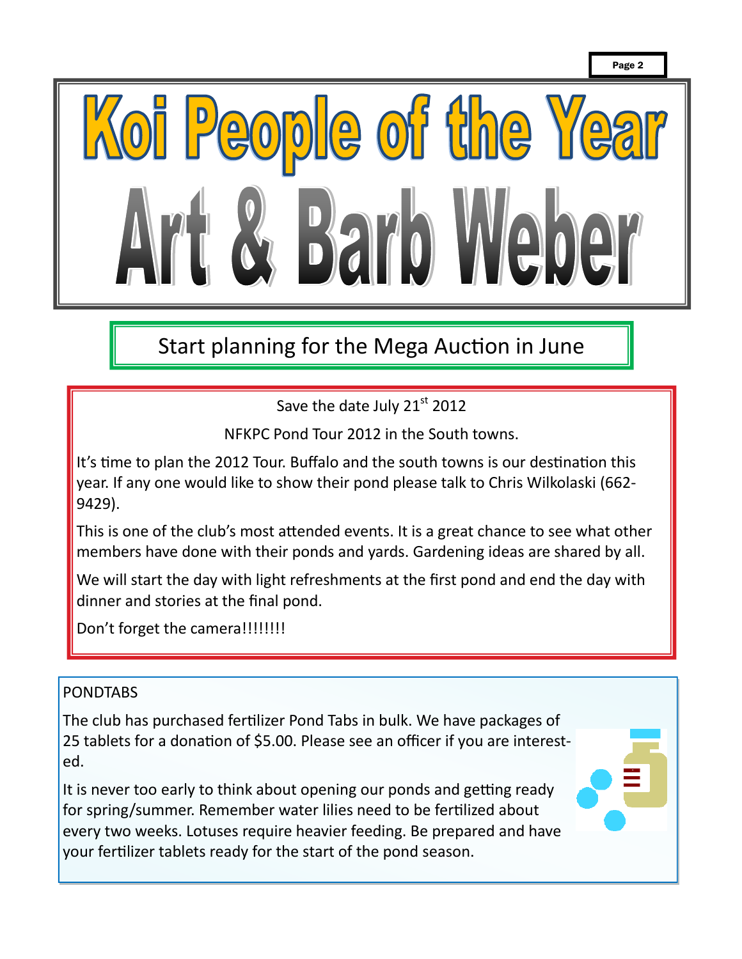

Start planning for the Mega Auction in June

Save the date July 21st 2012

NFKPC Pond Tour 2012 in the South towns.

It's time to plan the 2012 Tour. Buffalo and the south towns is our destination this year. If any one would like to show their pond please talk to Chris Wilkolaski (662- 9429).

This is one of the club's most attended events. It is a great chance to see what other members have done with their ponds and yards. Gardening ideas are shared by all.

We will start the day with light refreshments at the first pond and end the day with dinner and stories at the final pond.

Don't forget the camera!!!!!!!!!

## PONDTABS

The club has purchased fertilizer Pond Tabs in bulk. We have packages of 25 tablets for a donation of \$5.00. Please see an officer if you are interested.

It is never too early to think about opening our ponds and getting ready for spring/summer. Remember water lilies need to be fertilized about every two weeks. Lotuses require heavier feeding. Be prepared and have your fertilizer tablets ready for the start of the pond season.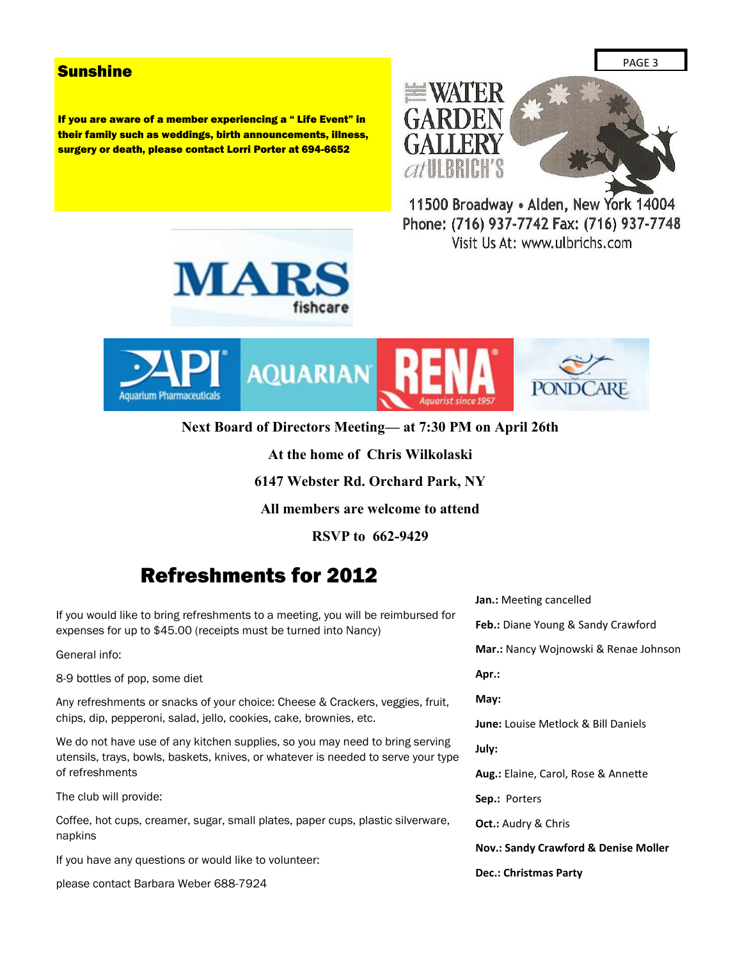### **Sunshine**

If you are aware of a member experiencing a " Life Event" in their family such as weddings, birth announcements, illness, surgery or death, please contact Lorri Porter at 694-6652



11500 Broadway . Alden, New York 14004 Phone: (716) 937-7742 Fax: (716) 937-7748 Visit Us At: www.ulbrichs.com





**Next Board of Directors Meeting— at 7:30 PM on April 26th**

**At the home of Chris Wilkolaski**

**6147 Webster Rd. Orchard Park, NY**

**All members are welcome to attend**

**RSVP to 662-9429**

# Refreshments for 2012

If you would like to bring refreshments to a meeting, you will be reimbursed for expenses for up to \$45.00 (receipts must be turned into Nancy)

General info:

8-9 bottles of pop, some diet

Any refreshments or snacks of your choice: Cheese & Crackers, veggies, fruit, chips, dip, pepperoni, salad, jello, cookies, cake, brownies, etc.

We do not have use of any kitchen supplies, so you may need to bring serving utensils, trays, bowls, baskets, knives, or whatever is needed to serve your type of refreshments

The club will provide:

Coffee, hot cups, creamer, sugar, small plates, paper cups, plastic silverware, napkins

If you have any questions or would like to volunteer:

please contact Barbara Weber 688-7924

**Jan.:** Meeting cancelled **Feb.:** Diane Young & Sandy Crawford **Mar.:** Nancy Wojnowski & Renae Johnson **Apr.: May: June:** Louise Metlock & Bill Daniels **July: Aug.:** Elaine, Carol, Rose & Annette **Sep.:** Porters **Oct.:** Audry & Chris **Nov.: Sandy Crawford & Denise Moller Dec.: Christmas Party**

PAGE 3